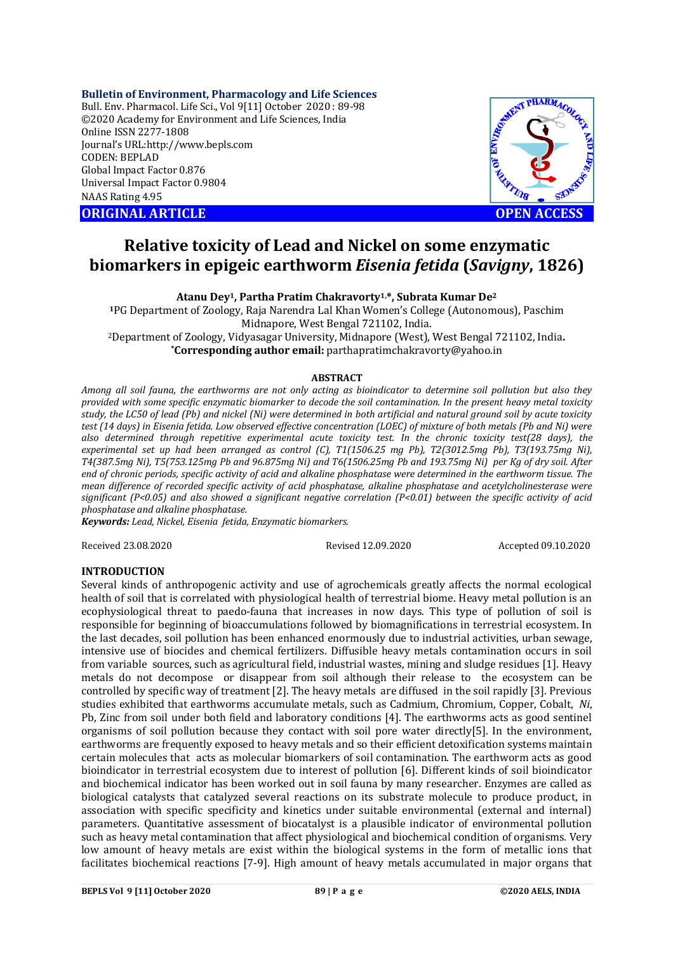#### **Bulletin of Environment, Pharmacology and Life Sciences**

Bull. Env. Pharmacol. Life Sci., Vol 9[11] October 2020 : 89-98 ©2020 Academy for Environment and Life Sciences, India Online ISSN 2277-1808 Journal's URL:<http://www.bepls.com> CODEN: BEPLAD Global Impact Factor 0.876 Universal Impact Factor 0.9804 NAAS Rating 4.95





# **Relative toxicity of Lead and Nickel on some enzymatic biomarkers in epigeic earthworm** *Eisenia fetida* **(***Savigny***, 1826)**

**Atanu Dey1, Partha Pratim Chakravorty1,\*, Subrata Kumar De<sup>2</sup>**

**<sup>1</sup>**PG Department of Zoology, Raja Narendra Lal Khan Women's College (Autonomous), Paschim Midnapore, West Bengal 721102, India. <sup>2</sup>Department of Zoology, Vidyasagar University, Midnapore (West), West Bengal 721102, India**. \*Corresponding author email:** [parthapratimchakravorty@yahoo.in](mailto:parthapratimchakravorty@yahoo.in)

## **ABSTRACT**

*Among all soil fauna, the earthworms are not only acting as bioindicator to determine soil pollution but also they provided with some specific enzymatic biomarker to decode the soil contamination. In the present heavy metal toxicity study, the LC50 of lead (Pb) and nickel (Ni) were determined in both artificial and natural ground soil by acute toxicity test (14 days) in Eisenia fetida. Low observed effective concentration (LOEC) of mixture of both metals (Pb and Ni) were also determined through repetitive experimental acute toxicity test. In the chronic toxicity test(28 days), the experimental set up had been arranged as control (C), T1(1506.25 mg Pb), T2(3012.5mg Pb), T3(193.75mg Ni), T4(387.5mg Ni), T5(753.125mg Pb and 96.875mg Ni) and T6(1506.25mg Pb and 193.75mg Ni) per Kg of dry soil. After end of chronic periods, specific activity of acid and alkaline phosphatase were determined in the earthworm tissue. The mean difference of recorded specific activity of acid phosphatase, alkaline phosphatase and acetylcholinesterase were significant (P<0.05) and also showed a significant negative correlation (P<0.01) between the specific activity of acid phosphatase and alkaline phosphatase.*

*Keywords: Lead, Nickel, Eisenia fetida, Enzymatic biomarkers.*

Received 23.08.2020 Revised 12.09.2020 Accepted 09.10.2020

#### **INTRODUCTION**

Several kinds of anthropogenic activity and use of agrochemicals greatly affects the normal ecological health of soil that is correlated with physiological health of terrestrial biome. Heavy metal pollution is an ecophysiological threat to paedo-fauna that increases in now days. This type of pollution of soil is responsible for beginning of bioaccumulations followed by biomagnifications in terrestrial ecosystem. In the last decades, soil pollution has been enhanced enormously due to industrial activities, urban sewage, intensive use of biocides and chemical fertilizers. Diffusible heavy metals contamination occurs in soil from variable sources, such as agricultural field, industrial wastes, mining and sludge residues [1]. Heavy metals do not decompose or disappear from soil although their release to the ecosystem can be controlled by specific way of treatment [2]. The heavy metals are diffused in the soil rapidly [3]. Previous studies exhibited that earthworms accumulate metals, such as Cadmium, Chromium, Copper, Cobalt, *Ni*, Pb, Zinc from soil under both field and laboratory conditions [4]. The earthworms acts as good sentinel organisms of soil pollution because they contact with soil pore water directly[5]. In the environment, earthworms are frequently exposed to heavy metals and so their efficient detoxification systems maintain certain molecules that acts as molecular biomarkers of soil contamination. The earthworm acts as good bioindicator in terrestrial ecosystem due to interest of pollution [6]. Different kinds of soil bioindicator and biochemical indicator has been worked out in soil fauna by many researcher. Enzymes are called as biological catalysts that catalyzed several reactions on its substrate molecule to produce product, in association with specific specificity and kinetics under suitable environmental (external and internal) parameters. Quantitative assessment of biocatalyst is a plausible indicator of environmental pollution such as heavy metal contamination that affect physiological and biochemical condition of organisms. Very low amount of heavy metals are exist within the biological systems in the form of metallic ions that facilitates biochemical reactions [7-9]. High amount of heavy metals accumulated in major organs that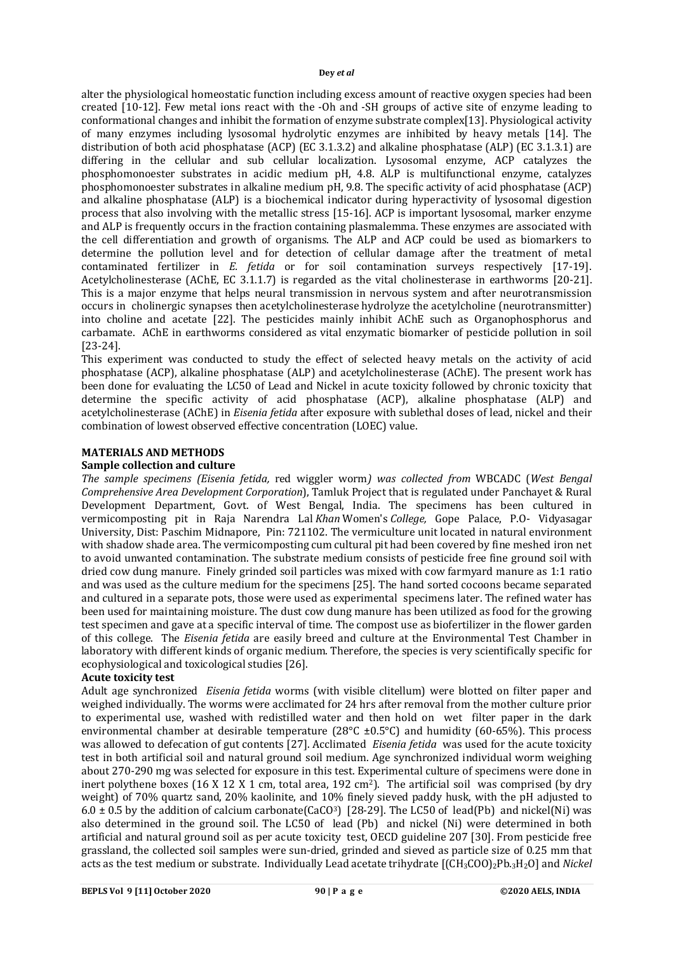alter the physiological homeostatic function including excess amount of reactive oxygen species had been created [10-12]. Few metal ions react with the -Oh and -SH groups of active site of enzyme leading to conformational changes and inhibit the formation of enzyme substrate complex[13]. Physiological activity of many enzymes including lysosomal hydrolytic enzymes are inhibited by heavy metals [14]. The distribution of both acid phosphatase (ACP) (EC 3.1.3.2) and alkaline phosphatase (ALP) (EC 3.1.3.1) are differing in the cellular and sub cellular localization. Lysosomal enzyme, ACP catalyzes the phosphomonoester substrates in acidic medium pH, 4.8. ALP is multifunctional enzyme, catalyzes phosphomonoester substrates in alkaline medium pH, 9.8. The specific activity of acid phosphatase (ACP) and alkaline phosphatase (ALP) is a biochemical indicator during hyperactivity of lysosomal digestion process that also involving with the metallic stress [15-16]. ACP is important lysosomal, marker enzyme and ALP is frequently occurs in the fraction containing plasmalemma. These enzymes are associated with the cell differentiation and growth of organisms. The ALP and ACP could be used as biomarkers to determine the pollution level and for detection of cellular damage after the treatment of metal contaminated fertilizer in *E. fetida* or for soil contamination surveys respectively [17-19]. Acetylcholinesterase (AChE, EC 3.1.1.7) is regarded as the vital cholinesterase in earthworms [20-21]. This is a major enzyme that helps neural transmission in nervous system and after neurotransmission occurs in cholinergic synapses then acetylcholinesterase hydrolyze the acetylcholine (neurotransmitter) into choline and acetate [22]. The pesticides mainly inhibit AChE such as Organophosphorus and carbamate. AChE in earthworms considered as vital enzymatic biomarker of pesticide pollution in soil [23-24].

This experiment was conducted to study the effect of selected heavy metals on the activity of acid phosphatase (ACP), alkaline phosphatase (ALP) and acetylcholinesterase (AChE). The present work has been done for evaluating the LC50 of Lead and Nickel in acute toxicity followed by chronic toxicity that determine the specific activity of acid phosphatase (ACP), alkaline phosphatase (ALP) and acetylcholinesterase (AChE) in *Eisenia fetida* after exposure with sublethal doses of lead, nickel and their combination of lowest observed effective concentration (LOEC) value.

## **MATERIALS AND METHODS**

## **Sample collection and culture**

*The sample specimens (Eisenia fetida,* red wiggler worm*) was collected from* WBCADC (*West Bengal Comprehensive Area Development Corporation*), Tamluk Project that is regulated under Panchayet & Rural Development Department, Govt. of West Bengal, India. The specimens has been cultured in vermicomposting pit in Raja Narendra Lal *Khan* Women's *College,* Gope Palace, P.O- Vidyasagar University, Dist: Paschim Midnapore, Pin: 721102. The vermiculture unit located in natural environment with shadow shade area. The vermicomposting cum cultural pit had been covered by fine meshed iron net to avoid unwanted contamination. The substrate medium consists of pesticide free fine ground soil with dried cow dung manure. Finely grinded soil particles was mixed with cow farmyard manure as 1:1 ratio and was used as the culture medium for the specimens [25]. The hand sorted cocoons became separated and cultured in a separate pots, those were used as experimental specimens later. The refined water has been used for maintaining moisture. The dust cow dung manure has been utilized as food for the growing test specimen and gave at a specific interval of time. The compost use as biofertilizer in the flower garden of this college. The *Eisenia fetida* are easily breed and culture at the Environmental Test Chamber in laboratory with different kinds of organic medium. Therefore, the species is very scientifically specific for ecophysiological and toxicological studies [26].

#### **Acute toxicity test**

Adult age synchronized *Eisenia fetida* worms (with visible clitellum) were blotted on filter paper and weighed individually. The worms were acclimated for 24 hrs after removal from the mother culture prior to experimental use, washed with redistilled water and then hold on wet filter paper in the dark environmental chamber at desirable temperature ( $28^{\circ}$ C ±0.5 $^{\circ}$ C) and humidity (60-65%). This process was allowed to defecation of gut contents [27]. Acclimated *Eisenia fetida* was used for the acute toxicity test in both artificial soil and natural ground soil medium. Age synchronized individual worm weighing about 270-290 mg was selected for exposure in this test. Experimental culture of specimens were done in inert polythene boxes (16 X 12 X 1 cm, total area, 192 cm<sup>2</sup>). The artificial soil was comprised (by dry weight) of 70% quartz sand, 20% kaolinite, and 10% finely sieved paddy husk, with the pH adjusted to 6.0  $\pm$  0.5 by the addition of calcium carbonate(CaCO<sup>3</sup>) [28-29]. The LC50 of lead(Pb) and nickel(Ni) was also determined in the ground soil. The LC50 of lead (Pb) and nickel (Ni) were determined in both artificial and natural ground soil as per acute toxicity test, OECD guideline 207 [30]. From pesticide free grassland, the collected soil samples were sun-dried, grinded and sieved as particle size of 0.25 mm that acts as the test medium or substrate. Individually Lead acetate trihydrate [(CH3COO)2Pb.3H2O] and *Nickel*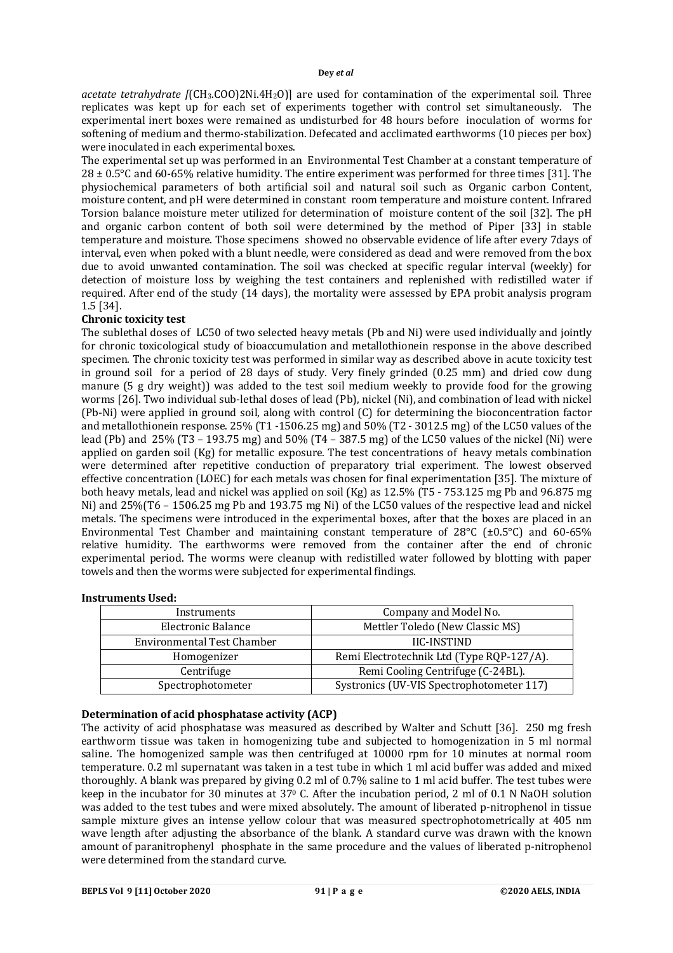*acetate tetrahydrate [*(CH3.COO)2Ni.4H2O)] are used for contamination of the experimental soil. Three replicates was kept up for each set of experiments together with control set simultaneously. The experimental inert boxes were remained as undisturbed for 48 hours before inoculation of worms for softening of medium and thermo-stabilization. Defecated and acclimated earthworms (10 pieces per box) were inoculated in each experimental boxes.

The experimental set up was performed in an Environmental Test Chamber at a constant temperature of  $28 \pm 0.5^{\circ}$ C and 60-65% relative humidity. The entire experiment was performed for three times [31]. The physiochemical parameters of both artificial soil and natural soil such as Organic carbon Content, moisture content, and pH were determined in constant room temperature and moisture content. Infrared Torsion balance moisture meter utilized for determination of moisture content of the soil [32]. The pH and organic carbon content of both soil were determined by the method of Piper [33] in stable temperature and moisture. Those specimens showed no observable evidence of life after every 7days of interval, even when poked with a blunt needle, were considered as dead and were removed from the box due to avoid unwanted contamination. The soil was checked at specific regular interval (weekly) for detection of moisture loss by weighing the test containers and replenished with redistilled water if required. After end of the study (14 days), the mortality were assessed by EPA probit analysis program 1.5 [34].

## **Chronic toxicity test**

The sublethal doses of LC50 of two selected heavy metals (Pb and Ni) were used individually and jointly for chronic toxicological study of bioaccumulation and metallothionein response in the above described specimen. The chronic toxicity test was performed in similar way as described above in acute toxicity test in ground soil for a period of 28 days of study. Very finely grinded (0.25 mm) and dried cow dung manure (5 g dry weight)) was added to the test soil medium weekly to provide food for the growing worms [26]. Two individual sub-lethal doses of lead (Pb), nickel (Ni), and combination of lead with nickel (Pb-Ni) were applied in ground soil, along with control (C) for determining the bioconcentration factor and metallothionein response. 25% (T1 -1506.25 mg) and 50% (T2 - 3012.5 mg) of the LC50 values of the lead (Pb) and 25% (T3 – 193.75 mg) and 50% (T4 – 387.5 mg) of the LC50 values of the nickel (Ni) were applied on garden soil (Kg) for metallic exposure. The test concentrations of heavy metals combination were determined after repetitive conduction of preparatory trial experiment. The lowest observed effective concentration (LOEC) for each metals was chosen for final experimentation [35]. The mixture of both heavy metals, lead and nickel was applied on soil (Kg) as 12.5% (T5 - 753.125 mg Pb and 96.875 mg Ni) and 25%(T6 – 1506.25 mg Pb and 193.75 mg Ni) of the LC50 values of the respective lead and nickel metals. The specimens were introduced in the experimental boxes, after that the boxes are placed in an Environmental Test Chamber and maintaining constant temperature of 28°C (±0.5°C) and 60-65% relative humidity. The earthworms were removed from the container after the end of chronic experimental period. The worms were cleanup with redistilled water followed by blotting with paper towels and then the worms were subjected for experimental findings.

#### **Instruments Used:**

| Instruments                | Company and Model No.                     |  |  |  |
|----------------------------|-------------------------------------------|--|--|--|
| Electronic Balance         | Mettler Toledo (New Classic MS)           |  |  |  |
| Environmental Test Chamber | <b>IIC-INSTIND</b>                        |  |  |  |
| Homogenizer                | Remi Electrotechnik Ltd (Type RQP-127/A). |  |  |  |
| Centrifuge                 | Remi Cooling Centrifuge (C-24BL).         |  |  |  |
| Spectrophotometer          | Systronics (UV-VIS Spectrophotometer 117) |  |  |  |

#### **Determination of acid phosphatase activity (ACP)**

The activity of acid phosphatase was measured as described by Walter and Schutt [36]. 250 mg fresh earthworm tissue was taken in homogenizing tube and subjected to homogenization in 5 ml normal saline. The homogenized sample was then centrifuged at 10000 rpm for 10 minutes at normal room temperature. 0.2 ml supernatant was taken in a test tube in which 1 ml acid buffer was added and mixed thoroughly. A blank was prepared by giving 0.2 ml of 0.7% saline to 1 ml acid buffer. The test tubes were keep in the incubator for 30 minutes at 37<sup>0</sup> C. After the incubation period, 2 ml of 0.1 N NaOH solution was added to the test tubes and were mixed absolutely. The amount of liberated p-nitrophenol in tissue sample mixture gives an intense yellow colour that was measured spectrophotometrically at 405 nm wave length after adjusting the absorbance of the blank. A standard curve was drawn with the known amount of paranitrophenyl phosphate in the same procedure and the values of liberated p-nitrophenol were determined from the standard curve.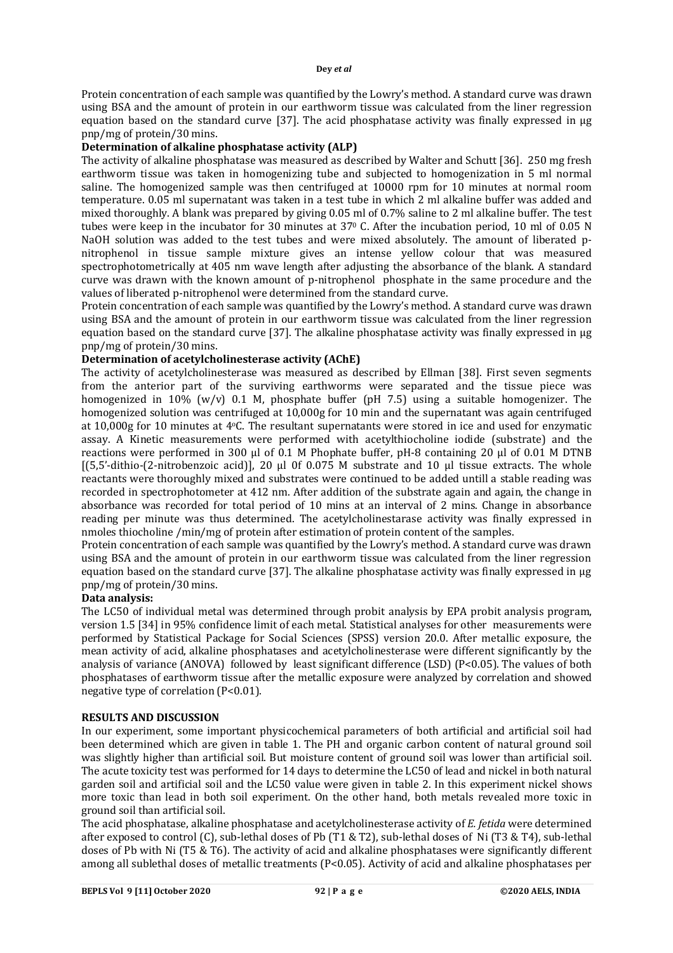Protein concentration of each sample was quantified by the Lowry's method. A standard curve was drawn using BSA and the amount of protein in our earthworm tissue was calculated from the liner regression equation based on the standard curve [37]. The acid phosphatase activity was finally expressed in μg pnp/mg of protein/30 mins.

## **Determination of alkaline phosphatase activity (ALP)**

The activity of alkaline phosphatase was measured as described by Walter and Schutt [36]. 250 mg fresh earthworm tissue was taken in homogenizing tube and subjected to homogenization in 5 ml normal saline. The homogenized sample was then centrifuged at 10000 rpm for 10 minutes at normal room temperature. 0.05 ml supernatant was taken in a test tube in which 2 ml alkaline buffer was added and mixed thoroughly. A blank was prepared by giving 0.05 ml of 0.7% saline to 2 ml alkaline buffer. The test tubes were keep in the incubator for 30 minutes at 37<sup>0</sup> C. After the incubation period, 10 ml of 0.05 N NaOH solution was added to the test tubes and were mixed absolutely. The amount of liberated pnitrophenol in tissue sample mixture gives an intense yellow colour that was measured spectrophotometrically at 405 nm wave length after adjusting the absorbance of the blank. A standard curve was drawn with the known amount of p-nitrophenol phosphate in the same procedure and the values of liberated p-nitrophenol were determined from the standard curve.

Protein concentration of each sample was quantified by the Lowry's method. A standard curve was drawn using BSA and the amount of protein in our earthworm tissue was calculated from the liner regression equation based on the standard curve [37]. The alkaline phosphatase activity was finally expressed in μg pnp/mg of protein/30 mins.

#### **Determination of acetylcholinesterase activity (AChE)**

The activity of acetylcholinesterase was measured as described by Ellman [38]. First seven segments from the anterior part of the surviving earthworms were separated and the tissue piece was homogenized in 10% (w/v) 0.1 M, phosphate buffer (pH 7.5) using a suitable homogenizer. The homogenized solution was centrifuged at 10,000g for 10 min and the supernatant was again centrifuged at 10,000g for 10 minutes at 4oC. The resultant supernatants were stored in ice and used for enzymatic assay. A Kinetic measurements were performed with acetylthiocholine iodide (substrate) and the reactions were performed in 300 µl of 0.1 M Phophate buffer, pH-8 containing 20 µl of 0.01 M DTNB  $[(5.5'-dithio-(2-nitrobenzoic acid)]$ , 20 µl 0f 0.075 M substrate and 10 µl tissue extracts. The whole reactants were thoroughly mixed and substrates were continued to be added untill a stable reading was recorded in spectrophotometer at 412 nm. After addition of the substrate again and again, the change in absorbance was recorded for total period of 10 mins at an interval of 2 mins. Change in absorbance reading per minute was thus determined. The acetylcholinestarase activity was finally expressed in nmoles thiocholine /min/mg of protein after estimation of protein content of the samples.

Protein concentration of each sample was quantified by the Lowry's method. A standard curve was drawn using BSA and the amount of protein in our earthworm tissue was calculated from the liner regression equation based on the standard curve [37]. The alkaline phosphatase activity was finally expressed in μg pnp/mg of protein/30 mins.

#### **Data analysis:**

The LC50 of individual metal was determined through probit analysis by EPA probit analysis program, version 1.5 [34] in 95% confidence limit of each metal. Statistical analyses for other measurements were performed by Statistical Package for Social Sciences (SPSS) version 20.0. After metallic exposure, the mean activity of acid, alkaline phosphatases and acetylcholinesterase were different significantly by the analysis of variance (ANOVA) followed by least significant difference (LSD) (P<0.05). The values of both phosphatases of earthworm tissue after the metallic exposure were analyzed by correlation and showed negative type of correlation (P<0.01).

#### **RESULTS AND DISCUSSION**

In our experiment, some important physicochemical parameters of both artificial and artificial soil had been determined which are given in table 1. The PH and organic carbon content of natural ground soil was slightly higher than artificial soil. But moisture content of ground soil was lower than artificial soil. The acute toxicity test was performed for 14 days to determine the LC50 of lead and nickel in both natural garden soil and artificial soil and the LC50 value were given in table 2. In this experiment nickel shows more toxic than lead in both soil experiment. On the other hand, both metals revealed more toxic in ground soil than artificial soil.

The acid phosphatase, alkaline phosphatase and acetylcholinesterase activity of *E. fetida* were determined after exposed to control (C), sub-lethal doses of Pb (T1 & T2), sub-lethal doses of Ni (T3 & T4), sub-lethal doses of Pb with Ni (T5 & T6). The activity of acid and alkaline phosphatases were significantly different among all sublethal doses of metallic treatments (P<0.05). Activity of acid and alkaline phosphatases per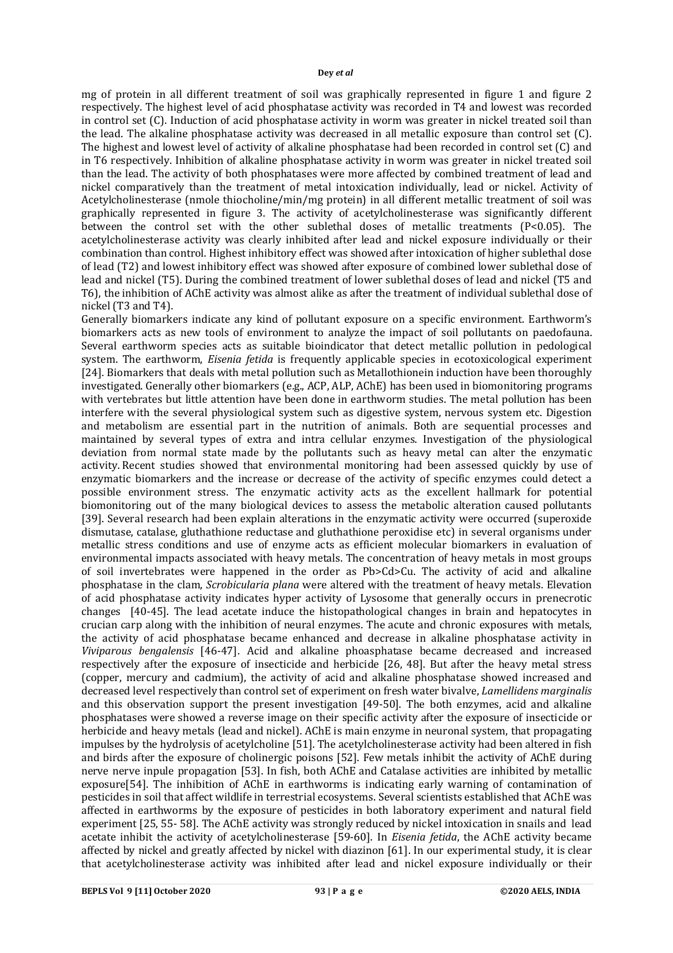mg of protein in all different treatment of soil was graphically represented in figure 1 and figure 2 respectively. The highest level of acid phosphatase activity was recorded in T4 and lowest was recorded in control set (C). Induction of acid phosphatase activity in worm was greater in nickel treated soil than the lead. The alkaline phosphatase activity was decreased in all metallic exposure than control set (C). The highest and lowest level of activity of alkaline phosphatase had been recorded in control set (C) and in T6 respectively. Inhibition of alkaline phosphatase activity in worm was greater in nickel treated soil than the lead. The activity of both phosphatases were more affected by combined treatment of lead and nickel comparatively than the treatment of metal intoxication individually, lead or nickel. Activity of Acetylcholinesterase (nmole thiocholine/min/mg protein) in all different metallic treatment of soil was graphically represented in figure 3. The activity of acetylcholinesterase was significantly different between the control set with the other sublethal doses of metallic treatments  $[P<0.05]$ . The acetylcholinesterase activity was clearly inhibited after lead and nickel exposure individually or their combination than control. Highest inhibitory effect was showed after intoxication of higher sublethal dose of lead (T2) and lowest inhibitory effect was showed after exposure of combined lower sublethal dose of lead and nickel (T5). During the combined treatment of lower sublethal doses of lead and nickel (T5 and T6), the inhibition of AChE activity was almost alike as after the treatment of individual sublethal dose of nickel (T3 and T4).

Generally biomarkers indicate any kind of pollutant exposure on a specific environment. Earthworm's biomarkers acts as new tools of environment to analyze the impact of soil pollutants on paedofauna. Several earthworm species acts as suitable bioindicator that detect metallic pollution in pedological system. The earthworm, *Eisenia fetida* is frequently applicable species in ecotoxicological experiment [24]. Biomarkers that deals with metal pollution such as Metallothionein induction have been thoroughly investigated. Generally other biomarkers (e.g., ACP, ALP, AChE) has been used in biomonitoring programs with vertebrates but little attention have been done in earthworm studies. The metal pollution has been interfere with the several physiological system such as digestive system, nervous system etc. Digestion and metabolism are essential part in the nutrition of animals. Both are sequential processes and maintained by several types of extra and intra cellular enzymes. Investigation of the physiological deviation from normal state made by the pollutants such as heavy metal can alter the enzymatic activity. Recent studies showed that environmental monitoring had been assessed quickly by use of enzymatic biomarkers and the increase or decrease of the activity of specific enzymes could detect a possible environment stress. The enzymatic activity acts as the excellent hallmark for potential biomonitoring out of the many biological devices to assess the metabolic alteration caused pollutants [39]. Several research had been explain alterations in the enzymatic activity were occurred (superoxide dismutase, catalase, gluthathione reductase and gluthathione peroxidise etc) in several organisms under metallic stress conditions and use of enzyme acts as efficient molecular biomarkers in evaluation of environmental impacts associated with heavy metals. The concentration of heavy metals in most groups of soil invertebrates were happened in the order as Pb>Cd>Cu. The activity of acid and alkaline phosphatase in the clam, *Scrobicularia plana* were altered with the treatment of heavy metals. Elevation of acid phosphatase activity indicates hyper activity of Lysosome that generally occurs in prenecrotic changes [40-45]. The lead acetate induce the histopathological changes in brain and hepatocytes in crucian carp along with the inhibition of neural enzymes. The acute and chronic exposures with metals, the activity of acid phosphatase became enhanced and decrease in alkaline phosphatase activity in *Viviparous bengalensis* [46-47]. Acid and alkaline phoasphatase became decreased and increased respectively after the exposure of insecticide and herbicide [26, 48]. But after the heavy metal stress (copper, mercury and cadmium), the activity of acid and alkaline phosphatase showed increased and decreased level respectively than control set of experiment on fresh water bivalve, *Lamellidens marginalis* and this observation support the present investigation [49-50]. The both enzymes, acid and alkaline phosphatases were showed a reverse image on their specific activity after the exposure of insecticide or herbicide and heavy metals (lead and nickel). AChE is main enzyme in neuronal system, that propagating impulses by the hydrolysis of acetylcholine [51]. The acetylcholinesterase activity had been altered in fish and birds after the exposure of cholinergic poisons [52]. Few metals inhibit the activity of AChE during nerve nerve inpule propagation [53]. In fish, both AChE and Catalase activities are inhibited by metallic exposure[54]. The inhibition of AChE in earthworms is indicating early warning of contamination of pesticides in soil that affect wildlife in terrestrial ecosystems. Several scientists established that AChE was affected in earthworms by the exposure of pesticides in both laboratory experiment and natural field experiment [25, 55- 58]. The AChE activity was strongly reduced by nickel intoxication in snails and lead acetate inhibit the activity of acetylcholinesterase [59-60]. In *Eisenia fetida*, the AChE activity became affected by nickel and greatly affected by nickel with diazinon [61]. In our experimental study, it is clear that acetylcholinesterase activity was inhibited after lead and nickel exposure individually or their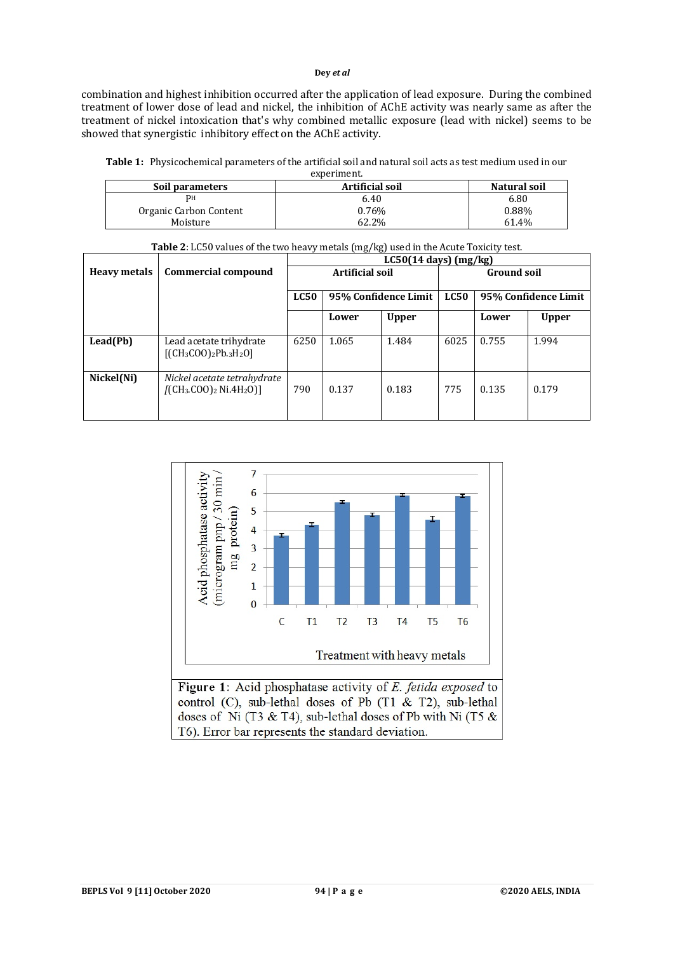combination and highest inhibition occurred after the application of lead exposure. During the combined treatment of lower dose of lead and nickel, the inhibition of AChE activity was nearly same as after the treatment of nickel intoxication that's why combined metallic exposure (lead with nickel) seems to be showed that synergistic inhibitory effect on the AChE activity.

| <b>Table 1:</b> Physicochemical parameters of the artificial soil and natural soil acts as test medium used in our |
|--------------------------------------------------------------------------------------------------------------------|
| experiment.                                                                                                        |

| Soil parameters        | <b>Artificial soil</b> | Natural soil |  |  |
|------------------------|------------------------|--------------|--|--|
| PН                     | 6.40                   | 6.80         |  |  |
| Organic Carbon Content | 0.76%                  | 0.88%        |  |  |
| Moisture               | 62.2%                  | 61.4%        |  |  |

|                     |                                                        | <b>rapic 2.</b> 2000 values of the two heavy inclus (ing) used in the ricute Fouring test.<br>$LC50(14 \text{ days}) (mg/kg)$ |                      |              |                    |                      |              |
|---------------------|--------------------------------------------------------|-------------------------------------------------------------------------------------------------------------------------------|----------------------|--------------|--------------------|----------------------|--------------|
| <b>Heavy metals</b> | Commercial compound                                    | <b>Artificial soil</b>                                                                                                        |                      |              | <b>Ground soil</b> |                      |              |
|                     |                                                        | <b>LC50</b>                                                                                                                   | 95% Confidence Limit |              | LC50               | 95% Confidence Limit |              |
|                     |                                                        |                                                                                                                               | Lower                | <b>Upper</b> |                    | Lower                | <b>Upper</b> |
| Lead(Pb)            | Lead acetate trihydrate<br>$[(CH3COO)2Pb3H2O]$         | 6250                                                                                                                          | 1.065                | 1.484        | 6025               | 0.755                | 1.994        |
| Nickel(Ni)          | Nickel acetate tetrahydrate<br>$[(CH3.COO)2 Ni.4H2O)]$ | 790                                                                                                                           | 0.137                | 0.183        | 775                | 0.135                | 0.179        |



Figure 1: Acid phosphatase activity of E. fetida exposed to control (C), sub-lethal doses of Pb (T1 & T2), sub-lethal doses of Ni (T3 & T4), sub-lethal doses of Pb with Ni (T5  $\&$ T6). Error bar represents the standard deviation.

**Table 2**: LC50 values of the two heavy metals (mg/kg) used in the Acute Toxicity test.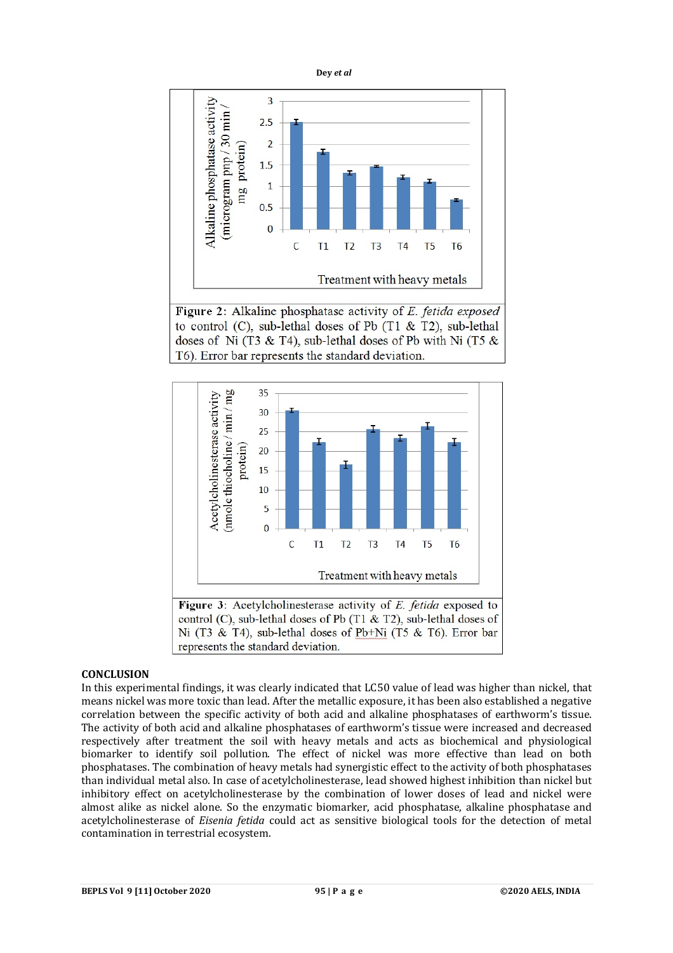

Figure 2: Alkaline phosphatase activity of E. fetida exposed to control (C), sub-lethal doses of Pb (T1 & T2), sub-lethal doses of Ni (T3 & T4), sub-lethal doses of Pb with Ni (T5  $\&$ T6). Error bar represents the standard deviation.



control (C), sub-lethal doses of Pb (T1  $\&$  T2), sub-lethal doses of Ni (T3 & T4), sub-lethal doses of Pb+Ni (T5 & T6). Error bar represents the standard deviation.

## **CONCLUSION**

In this experimental findings, it was clearly indicated that LC50 value of lead was higher than nickel, that means nickel was more toxic than lead. After the metallic exposure, it has been also established a negative correlation between the specific activity of both acid and alkaline phosphatases of earthworm's tissue. The activity of both acid and alkaline phosphatases of earthworm's tissue were increased and decreased respectively after treatment the soil with heavy metals and acts as biochemical and physiological biomarker to identify soil pollution. The effect of nickel was more effective than lead on both phosphatases. The combination of heavy metals had synergistic effect to the activity of both phosphatases than individual metal also. In case of acetylcholinesterase, lead showed highest inhibition than nickel but inhibitory effect on acetylcholinesterase by the combination of lower doses of lead and nickel were almost alike as nickel alone. So the enzymatic biomarker, acid phosphatase, alkaline phosphatase and acetylcholinesterase of *Eisenia fetida* could act as sensitive biological tools for the detection of metal contamination in terrestrial ecosystem.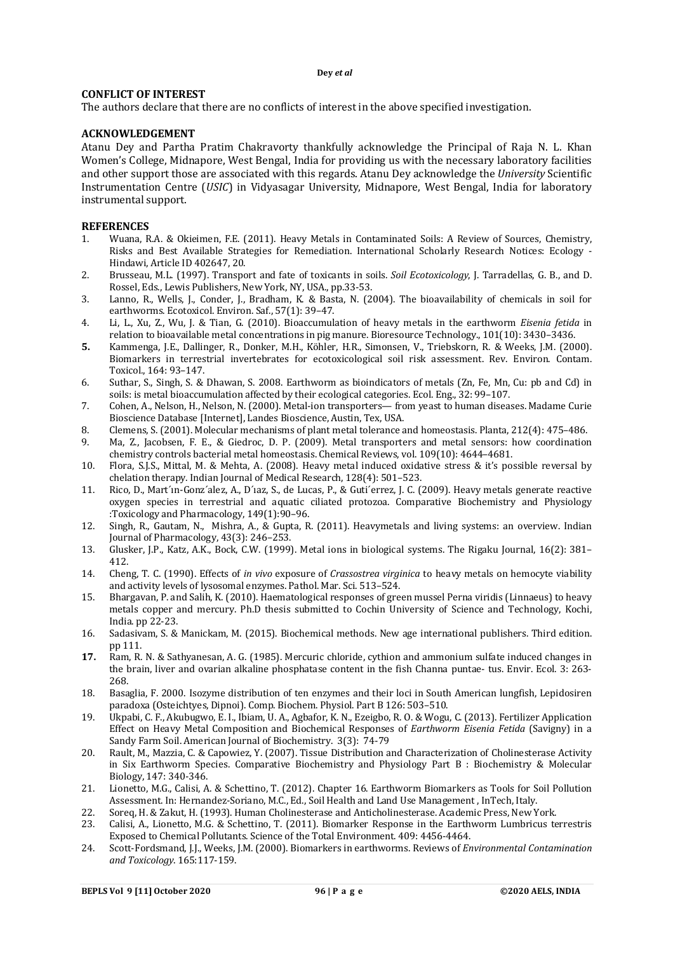## **CONFLICT OF INTEREST**

The authors declare that there are no conflicts of interest in the above specified investigation.

#### **ACKNOWLEDGEMENT**

Atanu Dey and Partha Pratim Chakravorty thankfully acknowledge the Principal of Raja N. L. Khan Women's College, Midnapore, West Bengal, India for providing us with the necessary laboratory facilities and other support those are associated with this regards. Atanu Dey acknowledge the *University* Scientific Instrumentation Centre (*USIC*) in Vidyasagar University, Midnapore, West Bengal, India for laboratory instrumental support.

#### **REFERENCES**

- 1. Wuana, R.A. & Okieimen, F.E. (2011). Heavy Metals in Contaminated Soils: A Review of Sources, Chemistry, Risks and Best Available Strategies for Remediation. International Scholarly Research Notices: Ecology - Hindawi, Article ID 402647, 20.
- 2. Brusseau, M.L. (1997). Transport and fate of toxicants in soils. *Soil Ecotoxicology*, J. Tarradellas, G. B., and D. Rossel, Eds., Lewis Publishers, New York, NY, USA., pp.33-53.
- 3. Lanno, R., Wells, J., Conder, J., Bradham, K. & Basta, N. (2004). The bioavailability of chemicals in soil for earthworms. Ecotoxicol. Environ. Saf., 57(1): 39–47.
- 4. Li, L., Xu, Z., Wu, J. & Tian, G. (2010). Bioaccumulation of heavy metals in the earthworm *Eisenia fetida* in relation to bioavailable metal concentrations in pig manure. Bioresource Technology., 101(10): 3430–3436.
- **5.** Kammenga, J.E., Dallinger, R., Donker, M.H., Köhler, H.R., Simonsen, V., Triebskorn, R. & Weeks, J.M. (2000). Biomarkers in terrestrial invertebrates for ecotoxicological soil risk assessment. Rev. Environ. Contam. Toxicol*.*, 164: 93–147.
- 6. Suthar, S., Singh, S. & Dhawan, S. 2008. Earthworm as bioindicators of metals (Zn, Fe, Mn, Cu: pb and Cd) in soils: is metal bioaccumulation affected by their ecological categories. Ecol. Eng., 32: 99–107.
- 7. Cohen, A., Nelson, H., Nelson, N. (2000). Metal-ion transporters— from yeast to human diseases. Madame Curie Bioscience Database [Internet], Landes Bioscience, Austin, Tex, USA.
- 8. Clemens, S. (2001). Molecular mechanisms of plant metal tolerance and homeostasis. Planta, 212(4): 475–486.
- 9. Ma, Z., Jacobsen, F. E., & Giedroc, D. P. (2009). Metal transporters and metal sensors: how coordination chemistry controls bacterial metal homeostasis. Chemical Reviews, vol. 109(10): 4644–4681.
- 10. Flora, S.J.S., Mittal, M. & Mehta, A. (2008). Heavy metal induced oxidative stress & it's possible reversal by chelation therapy. Indian Journal of Medical Research, 128(4): 501–523.
- 11. Rico, D., Mart´ın-Gonz´alez, A., D´ıaz, S., de Lucas, P., & Guti´errez, J. C. (2009). Heavy metals generate reactive oxygen species in terrestrial and aquatic ciliated protozoa. Comparative Biochemistry and Physiology :Toxicology and Pharmacology, 149(1):90–96.
- 12. Singh, R., Gautam, N., Mishra, A., & Gupta, R. (2011). Heavymetals and living systems: an overview. Indian Journal of Pharmacology, 43(3): 246–253.
- 13. Glusker, J.P., Katz, A.K., Bock, C.W. (1999). Metal ions in biological systems. The Rigaku Journal, 16(2): 381– 412.
- 14. Cheng, T. C. (1990). Effects of *in vivo* exposure of *Crassostrea virginica* to heavy metals on hemocyte viability and activity levels of lysosomal enzymes. Pathol. Mar. Sci. 513–524.
- 15. Bhargavan, P. and Salih, K. (2010). Haematological responses of green mussel Perna viridis (Linnaeus) to heavy metals copper and mercury. Ph.D thesis submitted to Cochin University of Science and Technology, Kochi, India. pp 22-23.
- 16. Sadasivam, S. & Manickam, M. (2015). Biochemical methods. New age international publishers. Third edition. pp 111.
- **17.** Ram, R. N. & Sathyanesan, A. G. (1985). Mercuric chloride, cythion and ammonium sulfate induced changes in the brain, liver and ovarian alkaline phosphatase content in the fish Channa puntae- tus. Envir. Ecol. 3: 263- 268.
- 18. Basaglia, F. 2000. Isozyme distribution of ten enzymes and their loci in South American lungfish, Lepidosiren paradoxa (Osteichtyes, Dipnoi). Comp. Biochem. Physiol. Part B 126: 503–510.
- 19. Ukpabi, C. F., Akubugwo, E. I., Ibiam, U. A., Agbafor, K. N., Ezeigbo, R. O. & Wogu, C. (2013). Fertilizer Application Effect on Heavy Metal Composition and Biochemical Responses of *Earthworm Eisenia Fetida* (Savigny) in a Sandy Farm Soil. American Journal of Biochemistry. 3(3): 74-79
- 20. Rault, M., Mazzia, C. & Capowiez, Y. (2007). Tissue Distribution and Characterization of Cholinesterase Activity in Six Earthworm Species. Comparative Biochemistry and Physiology Part B : Biochemistry & Molecular Biology, 147: 340-346.
- 21. Lionetto, M.G., Calisi, A. & Schettino, T. (2012). Chapter 16. Earthworm Biomarkers as Tools for Soil Pollution Assessment. In: Hernandez-Soriano, M.C., Ed., Soil Health and Land Use Management , InTech, Italy.
- 22. Soreq, H. & Zakut, H. (1993). Human Cholinesterase and Anticholinesterase. Academic Press, New York.<br>23. Calisi, A., Lionetto, M.G. & Schettino, T. (2011). Biomarker Response in the Earthworm Lumbricus te
- 23. Calisi, A., Lionetto, M.G. & Schettino, T. (2011). Biomarker Response in the Earthworm Lumbricus terrestris Exposed to Chemical Pollutants. Science of the Total Environment. 409: 4456-4464.
- 24. Scott-Fordsmand, J.J., Weeks, J.M. (2000). Biomarkers in earthworms. Reviews of *Environmental Contamination and Toxicology*. 165:117-159.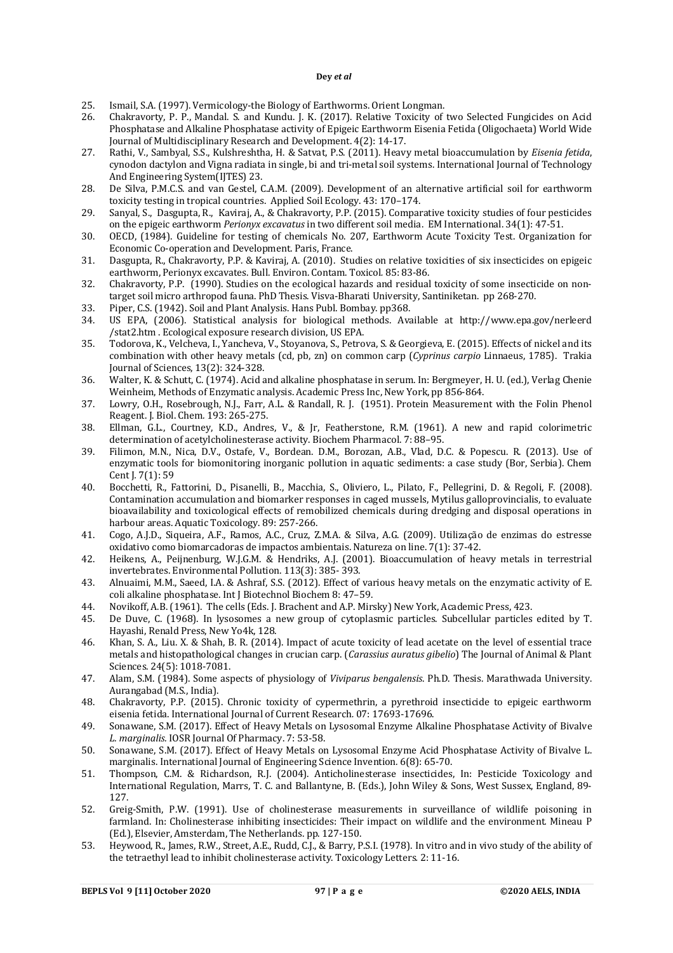- 25. Ismail, S.A. (1997). Vermicology-the Biology of Earthworms. Orient Longman.
- 26. Chakravorty, P. P., Mandal. S. and Kundu. J. K. (2017). Relative Toxicity of two Selected Fungicides on Acid Phosphatase and Alkaline Phosphatase activity of Epigeic Earthworm Eisenia Fetida (Oligochaeta) World Wide Journal of Multidisciplinary Research and Development. 4(2): 14-17.
- 27. Rathi, V., Sambyal, S.S., Kulshreshtha, H. & Satvat, P.S. (2011). Heavy metal bioaccumulation by *Eisenia fetida*, cynodon dactylon and Vigna radiata in single, bi and tri-metal soil systems. International Journal of Technology And Engineering System(IJTES) 23.
- 28. De Silva, P.M.C.S. and van Gestel, C.A.M. (2009). Development of an alternative artificial soil for earthworm toxicity testing in tropical countries. Applied Soil Ecology. 43: 170–174.
- 29. Sanyal, S., Dasgupta, R., Kaviraj, A., & Chakravorty, P.P. (2015). Comparative toxicity studies of four pesticides on the epigeic earthworm *Perionyx excavatus* in two different soil media. EM International. 34(1): 47-51.
- 30. OECD, (1984). Guideline for testing of chemicals No. 207, Earthworm Acute Toxicity Test. Organization for Economic Co-operation and Development. Paris, France.
- 31. Dasgupta, R., Chakravorty, P.P. & Kaviraj, A. (2010). Studies on relative toxicities of six insecticides on epigeic earthworm, Perionyx excavates. Bull. Environ. Contam. Toxicol*.* 85: 83-86.
- 32. Chakravorty, P.P. (1990). Studies on the ecological hazards and residual toxicity of some insecticide on nontarget soil micro arthropod fauna. PhD Thesis. Visva-Bharati University, Santiniketan. pp 268-270.
- 33. Piper, C.S. (1942). Soil and Plant Analysis. Hans Publ. Bombay. pp368.
- 34. US EPA, (2006). Statistical analysis for biological methods. Available at <http://www.epa.gov/nerleerd> /stat2.htm . Ecological exposure research division, US EPA.
- 35. Todorova, K., Velcheva, I., Yancheva, V., Stoyanova, S., Petrova, S. & Georgieva, E. (2015). Effects of nickel and its combination with other heavy metals (cd, pb, zn) on common carp (*Cyprinus carpio* Linnaeus, 1785). Trakia Journal of Sciences, 13(2): 324-328.
- 36. Walter, K. & Schutt, C. (1974). Acid and alkaline phosphatase in serum. In: Bergmeyer, H. U. (ed.), Verlag Chenie Weinheim, Methods of Enzymatic analysis. Academic Press Inc, New York, pp 856-864.
- 37. Lowry, O.H., Rosebrough, N.J., Farr, A.L. & Randall, R. J. (1951). Protein Measurement with the Folin Phenol Reagent. J. Biol. Chem*.* 193: 265-275.
- 38. Ellman, G.L., Courtney, K.D., Andres, V., & Jr, Featherstone, R.M. (1961). A new and rapid colorimetric determination of acetylcholinesterase activity. Biochem Pharmacol. 7: 88–95.
- 39. Filimon, M.N., Nica, D.V., Ostafe, V., Bordean. D.M., Borozan, A.B., Vlad, D.C. & Popescu. R. (2013). Use of enzymatic tools for biomonitoring inorganic pollution in aquatic sediments: a case study (Bor, Serbia). Chem Cent J*.* 7(1): 59
- 40. Bocchetti, R., Fattorini, D., Pisanelli, B., Macchia, S., Oliviero, L., Pilato, F., Pellegrini, D. & Regoli, F. (2008). Contamination accumulation and biomarker responses in caged mussels, Mytilus galloprovincialis, to evaluate bioavailability and toxicological effects of remobilized chemicals during dredging and disposal operations in harbour areas. Aquatic Toxicology. 89: 257-266.
- 41. Cogo, A.J.D., Siqueira, A.F., Ramos, A.C., Cruz, Z.M.A. & Silva, A.G. (2009). Utilização de enzimas do estresse oxidativo como biomarcadoras de impactos ambientais. Natureza on line. 7(1): 37-42.
- 42. Heikens, A., Peijnenburg, W.J.G.M. & Hendriks, A.J. (2001). Bioaccumulation of heavy metals in terrestrial invertebrates. Environmental Pollution. 113(3): 385- 393.
- 43. Alnuaimi, M.M., Saeed, I.A. & Ashraf, S.S. (2012). Effect of various heavy metals on the enzymatic activity of E. coli alkaline phosphatase. Int J Biotechnol Biochem 8: 47–59.
- 44. Novikoff, A.B. (1961). The cells (Eds. J. Brachent and A.P. Mirsky) New York, Academic Press, 423.
- 45. De Duve, C. (1968). In lysosomes a new group of cytoplasmic particles. Subcellular particles edited by T. Hayashi, Renald Press, New Yo4k, 128.
- 46. Khan, S. A., Liu. X. & Shah, B. R. (2014). Impact of acute toxicity of lead acetate on the level of essential trace metals and histopathological changes in crucian carp. (*Carassius auratus gibelio*) The Journal of Animal & Plant Sciences. 24(5): 1018-7081.
- 47. Alam, S.M. (1984). Some aspects of physiology of *Viviparus bengalensis*. Ph.D. Thesis. Marathwada University. Aurangabad (M.S., India).
- 48. Chakravorty, P.P. (2015). Chronic toxicity of cypermethrin, a pyrethroid insecticide to epigeic earthworm eisenia fetida. International Journal of Current Research*.* 07: 17693-17696.
- 49. Sonawane, S.M. (2017). Effect of Heavy Metals on Lysosomal Enzyme Alkaline Phosphatase Activity of Bivalve *L. marginalis.* IOSR Journal Of Pharmacy. 7: 53-58.
- 50. Sonawane, S.M. (2017). Effect of Heavy Metals on Lysosomal Enzyme Acid Phosphatase Activity of Bivalve L. marginalis. International Journal of Engineering Science Invention*.* 6(8): 65-70.
- 51. Thompson, C.M. & Richardson, R.J. (2004). Anticholinesterase insecticides, In: Pesticide Toxicology and International Regulation, Marrs, T. C. and Ballantyne, B. (Eds.), John Wiley & Sons, West Sussex, England, 89- 127.
- 52. Greig-Smith, P.W. (1991). Use of cholinesterase measurements in surveillance of wildlife poisoning in farmland. In: Cholinesterase inhibiting insecticides: Their impact on wildlife and the environment*.* Mineau P (Ed.), Elsevier, Amsterdam, The Netherlands. pp. 127-150.
- 53. Heywood, R., James, R.W., Street, A.E., Rudd, C.J., & Barry, P.S.I. (1978). In vitro and in vivo study of the ability of the tetraethyl lead to inhibit cholinesterase activity. Toxicology Letters*.* 2: 11-16.